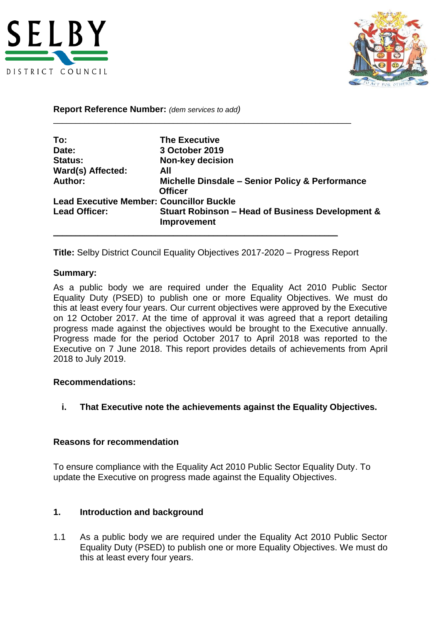



**Report Reference Number:** *(dem services to add)*

| To:                                             | <b>The Executive</b>                                                       |
|-------------------------------------------------|----------------------------------------------------------------------------|
| Date:                                           | 3 October 2019                                                             |
| <b>Status:</b>                                  | <b>Non-key decision</b>                                                    |
| Ward(s) Affected:                               | All                                                                        |
| Author:                                         | Michelle Dinsdale - Senior Policy & Performance<br><b>Officer</b>          |
| <b>Lead Executive Member: Councillor Buckle</b> |                                                                            |
| <b>Lead Officer:</b>                            | <b>Stuart Robinson - Head of Business Development &amp;</b><br>Improvement |

\_\_\_\_\_\_\_\_\_\_\_\_\_\_\_\_\_\_\_\_\_\_\_\_\_\_\_\_\_\_\_\_\_\_\_\_\_\_\_\_\_\_\_\_\_\_\_\_\_\_\_\_\_\_\_\_\_\_\_\_\_\_\_\_\_\_\_

**Title:** Selby District Council Equality Objectives 2017-2020 – Progress Report

\_\_\_\_\_\_\_\_\_\_\_\_\_\_\_\_\_\_\_\_\_\_\_\_\_\_\_\_\_\_\_\_\_\_\_\_\_\_\_\_\_\_\_\_\_\_\_\_\_\_\_\_\_\_\_\_\_\_\_\_\_\_\_\_

#### **Summary:**

As a public body we are required under the Equality Act 2010 Public Sector Equality Duty (PSED) to publish one or more Equality Objectives. We must do this at least every four years. Our current objectives were approved by the Executive on 12 October 2017. At the time of approval it was agreed that a report detailing progress made against the objectives would be brought to the Executive annually. Progress made for the period October 2017 to April 2018 was reported to the Executive on 7 June 2018. This report provides details of achievements from April 2018 to July 2019.

#### **Recommendations:**

**i. That Executive note the achievements against the Equality Objectives.**

### **Reasons for recommendation**

To ensure compliance with the Equality Act 2010 Public Sector Equality Duty. To update the Executive on progress made against the Equality Objectives.

### **1. Introduction and background**

1.1 As a public body we are required under the Equality Act 2010 Public Sector Equality Duty (PSED) to publish one or more Equality Objectives. We must do this at least every four years.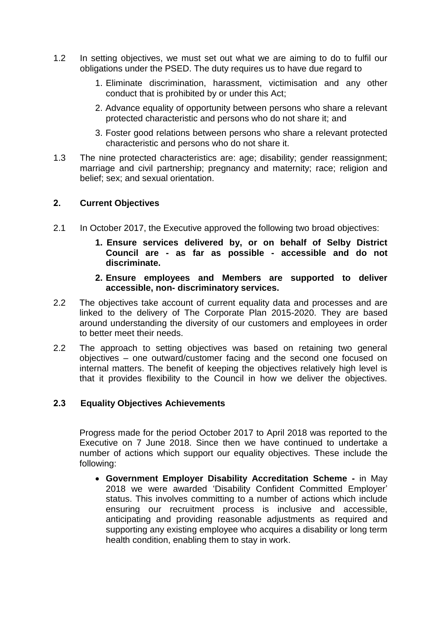- 1.2 In setting objectives, we must set out what we are aiming to do to fulfil our obligations under the PSED. The duty requires us to have due regard to
	- 1. Eliminate discrimination, harassment, victimisation and any other conduct that is prohibited by or under this Act;
	- 2. Advance equality of opportunity between persons who share a relevant protected characteristic and persons who do not share it; and
	- 3. Foster good relations between persons who share a relevant protected characteristic and persons who do not share it.
- 1.3 The nine protected characteristics are: age; disability; gender reassignment; marriage and civil partnership; pregnancy and maternity; race; religion and belief; sex; and sexual orientation.

### **2. Current Objectives**

- 2.1 In October 2017, the Executive approved the following two broad objectives:
	- **1. Ensure services delivered by, or on behalf of Selby District Council are - as far as possible - accessible and do not discriminate.**
	- **2. Ensure employees and Members are supported to deliver accessible, non- discriminatory services.**
- 2.2 The objectives take account of current equality data and processes and are linked to the delivery of The Corporate Plan 2015-2020. They are based around understanding the diversity of our customers and employees in order to better meet their needs.
- 2.2 The approach to setting objectives was based on retaining two general objectives – one outward/customer facing and the second one focused on internal matters. The benefit of keeping the objectives relatively high level is that it provides flexibility to the Council in how we deliver the objectives.

### **2.3****Equality Objectives Achievements**

Progress made for the period October 2017 to April 2018 was reported to the Executive on 7 June 2018. Since then we have continued to undertake a number of actions which support our equality objectives. These include the following:

 **Government Employer Disability Accreditation Scheme -** in May 2018 we were awarded 'Disability Confident Committed Employer' status. This involves committing to a number of actions which include ensuring our recruitment process is inclusive and accessible, anticipating and providing reasonable adjustments as required and supporting any existing employee who acquires a disability or long term health condition, enabling them to stay in work.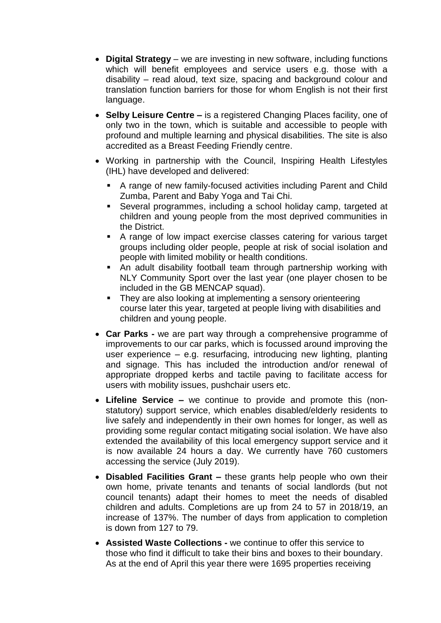- **Digital Strategy**  we are investing in new software, including functions which will benefit employees and service users e.g. those with a disability – read aloud, text size, spacing and background colour and translation function barriers for those for whom English is not their first language.
- **Selby Leisure Centre –** is a registered Changing Places facility, one of only two in the town, which is suitable and accessible to people with profound and multiple learning and physical disabilities. The site is also accredited as a Breast Feeding Friendly centre.
- Working in partnership with the Council, Inspiring Health Lifestyles (IHL) have developed and delivered:
	- A range of new family-focused activities including Parent and Child Zumba, Parent and Baby Yoga and Tai Chi.
	- Several programmes, including a school holiday camp, targeted at children and young people from the most deprived communities in the District.
	- A range of low impact exercise classes catering for various target groups including older people, people at risk of social isolation and people with limited mobility or health conditions.
	- An adult disability football team through partnership working with NLY Community Sport over the last year (one player chosen to be included in the GB MENCAP squad).
	- They are also looking at implementing a sensory orienteering course later this year, targeted at people living with disabilities and children and young people.
- **Car Parks -** we are part way through a comprehensive programme of improvements to our car parks, which is focussed around improving the user experience – e.g. resurfacing, introducing new lighting, planting and signage. This has included the introduction and/or renewal of appropriate dropped kerbs and tactile paving to facilitate access for users with mobility issues, pushchair users etc.
- **Lifeline Service –** we continue to provide and promote this (nonstatutory) support service, which enables disabled/elderly residents to live safely and independently in their own homes for longer, as well as providing some regular contact mitigating social isolation. We have also extended the availability of this local emergency support service and it is now available 24 hours a day. We currently have 760 customers accessing the service (July 2019).
- **Disabled Facilities Grant –** these grants help people who own their own home, private tenants and tenants of social landlords (but not council tenants) adapt their homes to meet the needs of disabled children and adults. Completions are up from 24 to 57 in 2018/19, an increase of 137%. The number of days from application to completion is down from 127 to 79.
- **Assisted Waste Collections -** we continue to offer this service to those who find it difficult to take their bins and boxes to their boundary. As at the end of April this year there were 1695 properties receiving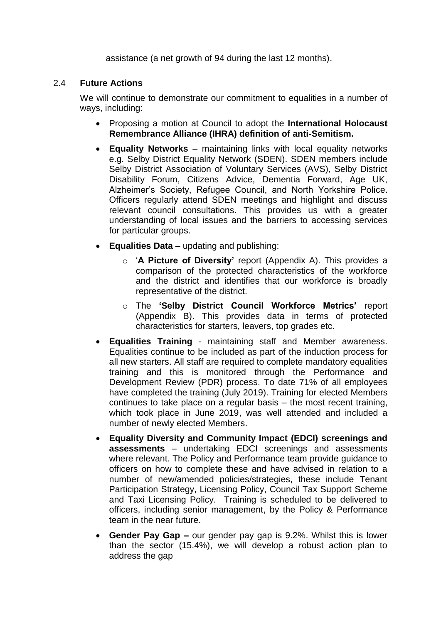assistance (a net growth of 94 during the last 12 months).

### 2.4 **Future Actions**

We will continue to demonstrate our commitment to equalities in a number of ways, including:

- Proposing a motion at Council to adopt the **International Holocaust Remembrance Alliance (IHRA) definition of anti-Semitism.**
- **Equality Networks** maintaining links with local equality networks e.g. Selby District Equality Network (SDEN). SDEN members include Selby District Association of Voluntary Services (AVS), Selby District Disability Forum, Citizens Advice, Dementia Forward, Age UK, Alzheimer's Society, Refugee Council, and North Yorkshire Police. Officers regularly attend SDEN meetings and highlight and discuss relevant council consultations. This provides us with a greater understanding of local issues and the barriers to accessing services for particular groups.
- **Equalities Data** updating and publishing:
	- o '**A Picture of Diversity'** report (Appendix A). This provides a comparison of the protected characteristics of the workforce and the district and identifies that our workforce is broadly representative of the district.
	- o The **'Selby District Council Workforce Metrics'** report (Appendix B). This provides data in terms of protected characteristics for starters, leavers, top grades etc.
- **Equalities Training** maintaining staff and Member awareness. Equalities continue to be included as part of the induction process for all new starters. All staff are required to complete mandatory equalities training and this is monitored through the Performance and Development Review (PDR) process. To date 71% of all employees have completed the training (July 2019). Training for elected Members continues to take place on a regular basis – the most recent training, which took place in June 2019, was well attended and included a number of newly elected Members.
- **Equality Diversity and Community Impact (EDCI) screenings and assessments** – undertaking EDCI screenings and assessments where relevant. The Policy and Performance team provide guidance to officers on how to complete these and have advised in relation to a number of new/amended policies/strategies, these include Tenant Participation Strategy, Licensing Policy, Council Tax Support Scheme and Taxi Licensing Policy. Training is scheduled to be delivered to officers, including senior management, by the Policy & Performance team in the near future.
- **Gender Pay Gap –** our gender pay gap is 9.2%. Whilst this is lower than the sector (15.4%), we will develop a robust action plan to address the gap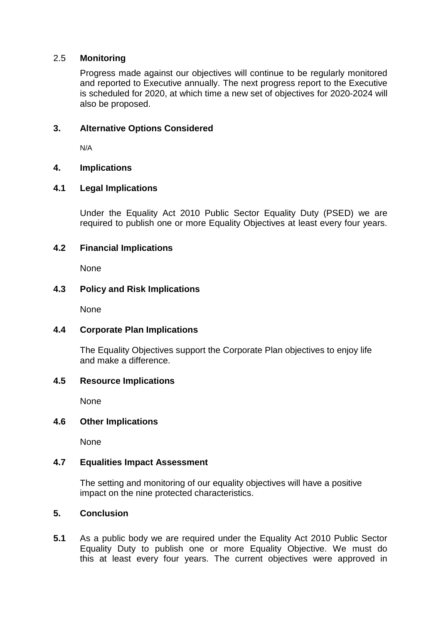### 2.5 **Monitoring**

Progress made against our objectives will continue to be regularly monitored and reported to Executive annually. The next progress report to the Executive is scheduled for 2020, at which time a new set of objectives for 2020-2024 will also be proposed.

# **3. Alternative Options Considered**

N/A

# **4. Implications**

# **4.1 Legal Implications**

Under the Equality Act 2010 Public Sector Equality Duty (PSED) we are required to publish one or more Equality Objectives at least every four years.

# **4.2 Financial Implications**

None

# **4.3 Policy and Risk Implications**

None

### **4.4 Corporate Plan Implications**

The Equality Objectives support the Corporate Plan objectives to enjoy life and make a difference.

### **4.5 Resource Implications**

None

### **4.6 Other Implications**

None

### **4.7 Equalities Impact Assessment**

The setting and monitoring of our equality objectives will have a positive impact on the nine protected characteristics.

### **5. Conclusion**

**5.1** As a public body we are required under the Equality Act 2010 Public Sector Equality Duty to publish one or more Equality Objective. We must do this at least every four years. The current objectives were approved in